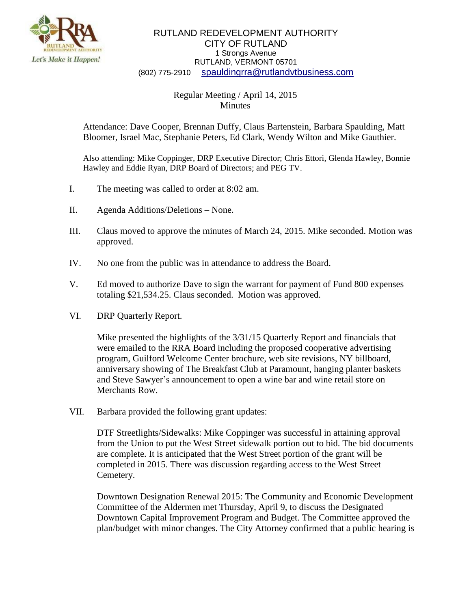

## RUTLAND REDEVELOPMENT AUTHORITY CITY OF RUTLAND 1 Strongs Avenue RUTLAND, VERMONT 05701 (802) 775-2910 [spauldingrra@rutlandvtbusiness.com](mailto:allenrra@rutlandvtbusiness.com)

## Regular Meeting / April 14, 2015 Minutes

Attendance: Dave Cooper, Brennan Duffy, Claus Bartenstein, Barbara Spaulding, Matt Bloomer, Israel Mac, Stephanie Peters, Ed Clark, Wendy Wilton and Mike Gauthier.

Also attending: Mike Coppinger, DRP Executive Director; Chris Ettori, Glenda Hawley, Bonnie Hawley and Eddie Ryan, DRP Board of Directors; and PEG TV.

- I. The meeting was called to order at 8:02 am.
- II. Agenda Additions/Deletions None.
- III. Claus moved to approve the minutes of March 24, 2015. Mike seconded. Motion was approved.
- IV. No one from the public was in attendance to address the Board.
- V. Ed moved to authorize Dave to sign the warrant for payment of Fund 800 expenses totaling \$21,534.25. Claus seconded. Motion was approved.
- VI. DRP Quarterly Report.

Mike presented the highlights of the 3/31/15 Quarterly Report and financials that were emailed to the RRA Board including the proposed cooperative advertising program, Guilford Welcome Center brochure, web site revisions, NY billboard, anniversary showing of The Breakfast Club at Paramount, hanging planter baskets and Steve Sawyer's announcement to open a wine bar and wine retail store on Merchants Row.

VII. Barbara provided the following grant updates:

DTF Streetlights/Sidewalks: Mike Coppinger was successful in attaining approval from the Union to put the West Street sidewalk portion out to bid. The bid documents are complete. It is anticipated that the West Street portion of the grant will be completed in 2015. There was discussion regarding access to the West Street Cemetery.

Downtown Designation Renewal 2015: The Community and Economic Development Committee of the Aldermen met Thursday, April 9, to discuss the Designated Downtown Capital Improvement Program and Budget. The Committee approved the plan/budget with minor changes. The City Attorney confirmed that a public hearing is